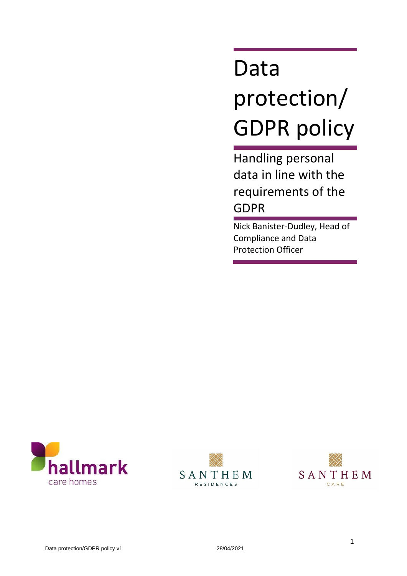# Data protection/ GDPR policy

Handling personal data in line with the requirements of the GDPR

Nick Banister-Dudley, Head of Compliance and Data Protection Officer





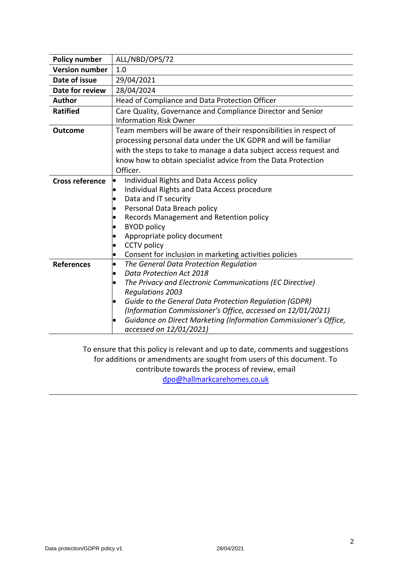| <b>Policy number</b>   | ALL/NBD/OPS/72                                                                                                                                                                                                                                                                                                                                                                                              |
|------------------------|-------------------------------------------------------------------------------------------------------------------------------------------------------------------------------------------------------------------------------------------------------------------------------------------------------------------------------------------------------------------------------------------------------------|
| <b>Version number</b>  | 1.0                                                                                                                                                                                                                                                                                                                                                                                                         |
| Date of issue          | 29/04/2021                                                                                                                                                                                                                                                                                                                                                                                                  |
| Date for review        | 28/04/2024                                                                                                                                                                                                                                                                                                                                                                                                  |
| <b>Author</b>          | Head of Compliance and Data Protection Officer                                                                                                                                                                                                                                                                                                                                                              |
| <b>Ratified</b>        | Care Quality, Governance and Compliance Director and Senior<br><b>Information Risk Owner</b>                                                                                                                                                                                                                                                                                                                |
| <b>Outcome</b>         | Team members will be aware of their responsibilities in respect of<br>processing personal data under the UK GDPR and will be familiar<br>with the steps to take to manage a data subject access request and<br>know how to obtain specialist advice from the Data Protection<br>Officer.                                                                                                                    |
| <b>Cross reference</b> | Individual Rights and Data Access policy<br>lo<br>Individual Rights and Data Access procedure<br>$\bullet$<br>Data and IT security<br>Personal Data Breach policy<br>$\bullet$<br>Records Management and Retention policy<br>$\bullet$<br><b>BYOD policy</b><br>Appropriate policy document<br><b>CCTV</b> policy<br>$\bullet$<br>Consent for inclusion in marketing activities policies<br>$\bullet$       |
| <b>References</b>      | The General Data Protection Regulation<br>$\bullet$<br>Data Protection Act 2018<br>The Privacy and Electronic Communications (EC Directive)<br><b>Regulations 2003</b><br>Guide to the General Data Protection Regulation (GDPR)<br>$\bullet$<br>(Information Commissioner's Office, accessed on 12/01/2021)<br>Guidance on Direct Marketing (Information Commissioner's Office,<br>accessed on 12/01/2021) |

To ensure that this policy is relevant and up to date, comments and suggestions for additions or amendments are sought from users of this document. To contribute towards the process of review, email [dpo@hallmarkcarehomes.co.uk](mailto:dpo@hallmarkcarehomes.co.uk)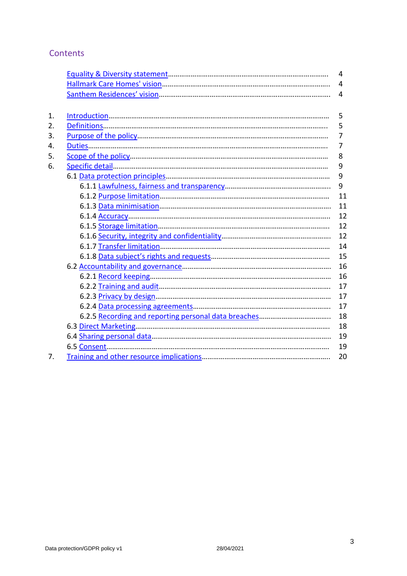# **Contents**

|    | 4              |
|----|----------------|
|    | 4              |
|    | 4              |
|    |                |
| 1. | 5              |
| 2. | 5              |
| 3. | $\overline{7}$ |
| 4. | $\overline{7}$ |
| 5. | 8              |
| 6. | 9              |
|    | 9              |
|    | 9              |
|    | 11             |
|    | 11             |
|    | 12             |
|    | 12             |
|    | 12             |
|    | 14             |
|    | 15             |
|    | 16             |
|    | 16             |
|    | 17             |
|    | 17             |
|    | 17             |
|    | 18             |
|    | 18             |
|    | 19             |
|    | 19             |
| 7. | 20             |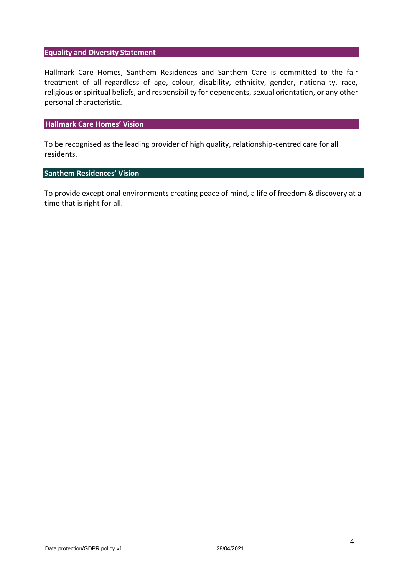#### <span id="page-3-0"></span>**Equality and Diversity Statement**

Hallmark Care Homes, Santhem Residences and Santhem Care is committed to the fair treatment of all regardless of age, colour, disability, ethnicity, gender, nationality, race, religious or spiritual beliefs, and responsibility for dependents, sexual orientation, or any other personal characteristic.

#### <span id="page-3-1"></span>**Hallmark Care Homes' Vision**

To be recognised as the leading provider of high quality, relationship-centred care for all residents.

# <span id="page-3-2"></span>**Santhem Residences' Vision**

To provide exceptional environments creating peace of mind, a life of freedom & discovery at a time that is right for all.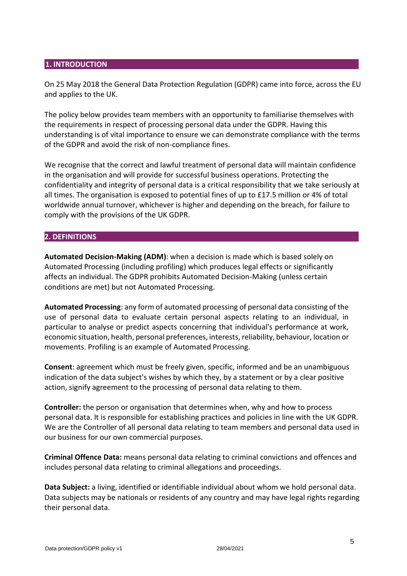### **1. INTRODUCTION**

On 25 May 2018 the General Data Protection Regulation (GDPR) came into force, across the EU and applies to the UK.

The policy below provides team members with an opportunity to familiarise themselves with the requirements in respect of processing personal data under the GDPR. Having this understanding is of vital importance to ensure we can demonstrate compliance with the terms of the GDPR and avoid the risk of non-compliance fines.

We recognise that the correct and lawful treatment of personal data will maintain confidence in the organisation and will provide for successful business operations. Protecting the confidentiality and integrity of personal data is a critical responsibility that we take seriously at all times. The organisation is exposed to potential fines of up to £17.5 million or 4% of total worldwide annual turnover, whichever is higher and depending on the breach, for failure to comply with the provisions of the UK GDPR.

#### <span id="page-4-0"></span>**2. DEFINITIONS**

**Automated Decision-Making (ADM)**: when a decision is made which is based solely on Automated Processing (including profiling) which produces legal effects or significantly affects an individual. The GDPR prohibits Automated Decision-Making (unless certain conditions are met) but not Automated Processing.

**Automated Processing**: any form of automated processing of personal data consisting of the use of personal data to evaluate certain personal aspects relating to an individual, in particular to analyse or predict aspects concerning that individual's performance at work, economic situation, health, personal preferences, interests,reliability, behaviour, location or movements. Profiling is an example of Automated Processing.

**Consent**: agreement which must be freely given, specific, informed and be an unambiguous indication of the data subject's wishes by which they, by a statement or by a clear positive action, signify agreement to the processing of personal data relating to them.

**Controller:** the person or organisation that determines when, why and how to process personal data. It is responsible for establishing practices and policies in line with the UK GDPR. We are the Controller of all personal data relating to team members and personal data used in our business for our own commercial purposes.

**Criminal Offence Data:** means personal data relating to criminal convictions and offences and includes personal data relating to criminal allegations and proceedings.

**Data Subject:** a living, identified or identifiable individual about whom we hold personal data. Data subjects may be nationals or residents of any country and may have legal rights regarding their personal data.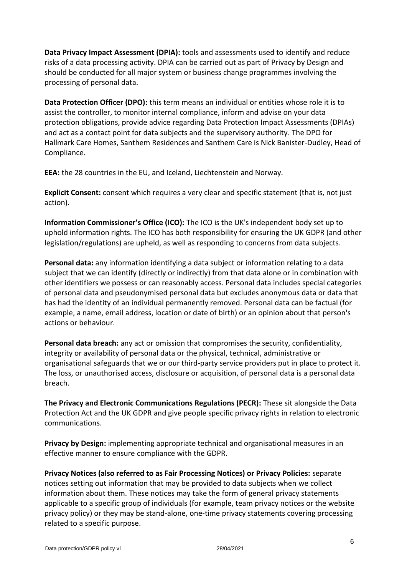**Data Privacy Impact Assessment (DPIA):** tools and assessments used to identify and reduce risks of a data processing activity. DPIA can be carried out as part of Privacy by Design and should be conducted for all major system or business change programmes involving the processing of personal data.

**Data Protection Officer (DPO):** this term means an individual or entities whose role it is to assist the controller, to monitor internal compliance, inform and advise on your data protection obligations, provide advice regarding Data Protection Impact Assessments (DPIAs) and act as a contact point for data subjects and the supervisory authority. The DPO for Hallmark Care Homes, Santhem Residences and Santhem Care is Nick Banister-Dudley, Head of Compliance.

**EEA:** the 28 countries in the EU, and Iceland, Liechtenstein and Norway.

**Explicit Consent:** consent which requires a very clear and specific statement (that is, not just action).

**Information Commissioner's Office (ICO):** The ICO is the UK's independent body set up to uphold information rights. The ICO has both responsibility for ensuring the UK GDPR (and other legislation/regulations) are upheld, as well as responding to concerns from data subjects.

**Personal data:** any information identifying a data subject or information relating to a data subject that we can identify (directly or indirectly) from that data alone or in combination with other identifiers we possess or can reasonably access. Personal data includes special categories of personal data and pseudonymised personal data but excludes anonymous data or data that has had the identity of an individual permanently removed. Personal data can be factual (for example, a name, email address, location or date of birth) or an opinion about that person's actions or behaviour.

**Personal data breach:** any act or omission that compromises the security, confidentiality, integrity or availability of personal data or the physical, technical, administrative or organisational safeguards that we or our third-party service providers put in place to protect it. The loss, or unauthorised access, disclosure or acquisition, of personal data is a personal data breach.

**The Privacy and Electronic Communications Regulations (PECR):** These sit alongside the Data Protection Act and the UK GDPR and give people specific privacy rights in relation to electronic communications.

**Privacy by Design:** implementing appropriate technical and organisational measures in an effective manner to ensure compliance with the GDPR.

**Privacy Notices (also referred to as Fair Processing Notices) or Privacy Policies:** separate notices setting out information that may be provided to data subjects when we collect information about them. These notices may take the form of general privacy statements applicable to a specific group of individuals (for example, team privacy notices or the website privacy policy) or they may be stand-alone, one-time privacy statements covering processing related to a specific purpose.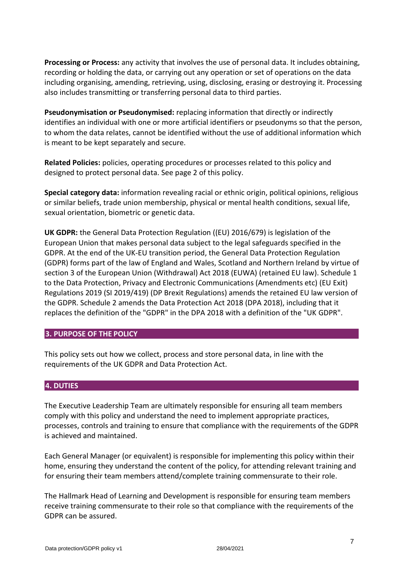**Processing or Process:** any activity that involves the use of personal data. It includes obtaining, recording or holding the data, or carrying out any operation or set of operations on the data including organising, amending, retrieving, using, disclosing, erasing or destroying it. Processing also includes transmitting or transferring personal data to third parties.

**Pseudonymisation or Pseudonymised:** replacing information that directly or indirectly identifies an individual with one or more artificial identifiers or pseudonyms so that the person, to whom the data relates, cannot be identified without the use of additional information which is meant to be kept separately and secure.

**Related Policies:** policies, operating procedures or processes related to this policy and designed to protect personal data. See page 2 of this policy.

**Special category data:** information revealing racial or ethnic origin, political opinions, religious or similar beliefs, trade union membership, physical or mental health conditions, sexual life, sexual orientation, biometric or genetic data.

**UK GDPR:** the General Data Protection Regulation ((EU) 2016/679) is legislation of the European Union that makes personal data subject to the legal safeguards specified in the GDPR. At the end of the UK-EU transition period, the General Data Protection Regulation (GDPR) forms part of the law of England and Wales, Scotland and Northern Ireland by virtue of section 3 of the European Union (Withdrawal) Act 2018 (EUWA) (retained EU law). Schedule 1 to the Data Protection, Privacy and Electronic Communications (Amendments etc) (EU Exit) Regulations 2019 (SI 2019/419) (DP Brexit Regulations) amends the retained EU law version of the GDPR. Schedule 2 amends the Data Protection Act 2018 (DPA 2018), including that it replaces the definition of the "GDPR" in the DPA 2018 with a definition of the "UK GDPR".

#### <span id="page-6-0"></span>**3. PURPOSE OF THE POLICY**

This policy sets out how we collect, process and store personal data, in line with the requirements of the UK GDPR and Data Protection Act.

#### <span id="page-6-1"></span>**4. DUTIES**

The Executive Leadership Team are ultimately responsible for ensuring all team members comply with this policy and understand the need to implement appropriate practices, processes, controls and training to ensure that compliance with the requirements of the GDPR is achieved and maintained.

Each General Manager (or equivalent) is responsible for implementing this policy within their home, ensuring they understand the content of the policy, for attending relevant training and for ensuring their team members attend/complete training commensurate to their role.

The Hallmark Head of Learning and Development is responsible for ensuring team members receive training commensurate to their role so that compliance with the requirements of the GDPR can be assured.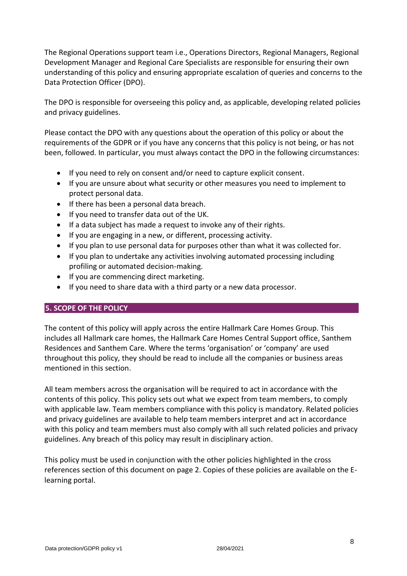The Regional Operations support team i.e., Operations Directors, Regional Managers, Regional Development Manager and Regional Care Specialists are responsible for ensuring their own understanding of this policy and ensuring appropriate escalation of queries and concerns to the Data Protection Officer (DPO).

The DPO is responsible for overseeing this policy and, as applicable, developing related policies and privacy guidelines.

Please contact the DPO with any questions about the operation of this policy or about the requirements of the GDPR or if you have any concerns that this policy is not being, or has not been, followed. In particular, you must always contact the DPO in the following circumstances:

- If you need to rely on consent and/or need to capture explicit consent.
- If you are unsure about what security or other measures you need to implement to protect personal data.
- If there has been a personal data breach.
- If you need to transfer data out of the UK.
- If a data subject has made a request to invoke any of their rights.
- If you are engaging in a new, or different, processing activity.
- If you plan to use personal data for purposes other than what it was collected for.
- If you plan to undertake any activities involving automated processing including profiling or automated decision-making.
- If you are commencing direct marketing.
- If you need to share data with a third party or a new data processor.

## <span id="page-7-0"></span>**5. SCOPE OF THE POLICY**

The content of this policy will apply across the entire Hallmark Care Homes Group. This includes all Hallmark care homes, the Hallmark Care Homes Central Support office, Santhem Residences and Santhem Care. Where the terms 'organisation' or 'company' are used throughout this policy, they should be read to include all the companies or business areas mentioned in this section.

All team members across the organisation will be required to act in accordance with the contents of this policy. This policy sets out what we expect from team members, to comply with applicable law. Team members compliance with this policy is mandatory. Related policies and privacy guidelines are available to help team members interpret and act in accordance with this policy and team members must also comply with all such related policies and privacy guidelines. Any breach of this policy may result in disciplinary action.

This policy must be used in conjunction with the other policies highlighted in the cross references section of this document on page 2. Copies of these policies are available on the Elearning portal.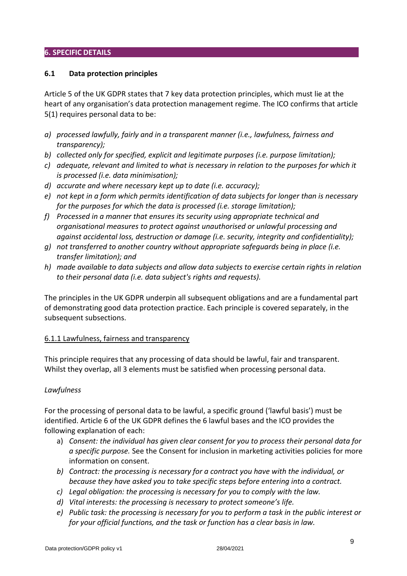### <span id="page-8-0"></span>**6. SPECIFIC DETAILS**

#### <span id="page-8-1"></span>**6.1 Data protection principles**

Article 5 of the UK GDPR states that 7 key data protection principles, which must lie at the heart of any organisation's data protection management regime. The ICO confirms that article 5(1) requires personal data to be:

- *a) processed lawfully, fairly and in a transparent manner (i.e., lawfulness, fairness and transparency);*
- *b) collected only for specified, explicit and legitimate purposes (i.e. purpose limitation);*
- *c) adequate, relevant and limited to what is necessary in relation to the purposes for which it is processed (i.e. data minimisation);*
- *d) accurate and where necessary kept up to date (i.e. accuracy);*
- *e) not kept in a form which permits identification of data subjects for longer than is necessary for the purposes for which the data is processed (i.e. storage limitation);*
- *f) Processed in a manner that ensures its security using appropriate technical and organisational measures to protect against unauthorised or unlawful processing and against accidental loss, destruction or damage (i.e. security, integrity and confidentiality);*
- *g) not transferred to another country without appropriate safeguards being in place (i.e. transfer limitation); and*
- *h) made available to data subjects and allow data subjects to exercise certain rights in relation to their personal data (i.e. data subject's rights and requests).*

The principles in the UK GDPR underpin all subsequent obligations and are a fundamental part of demonstrating good data protection practice. Each principle is covered separately, in the subsequent subsections.

#### <span id="page-8-2"></span>6.1.1 Lawfulness, fairness and transparency

This principle requires that any processing of data should be lawful, fair and transparent. Whilst they overlap, all 3 elements must be satisfied when processing personal data.

#### *Lawfulness*

For the processing of personal data to be lawful, a specific ground ('lawful basis') must be identified. Article 6 of the UK GDPR defines the 6 lawful bases and the ICO provides the following explanation of each:

- a) *Consent: the individual has given clear consent for you to process their personal data for a specific purpose.* See the Consent for inclusion in marketing activities policies for more information on consent.
- *b) Contract: the processing is necessary for a contract you have with the individual, or because they have asked you to take specific steps before entering into a contract.*
- *c) Legal obligation: the processing is necessary for you to comply with the law.*
- *d) Vital interests: the processing is necessary to protect someone's life.*
- *e) Public task: the processing is necessary for you to perform a task in the public interest or for your official functions, and the task or function has a clear basis in law.*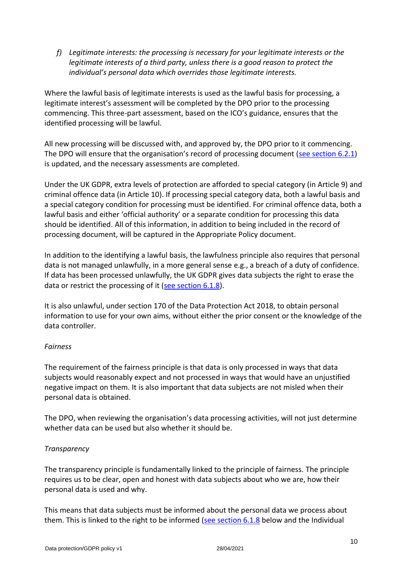*f) Legitimate interests: the processing is necessary for your legitimate interests or the legitimate interests of a third party, unless there is a good reason to protect the individual's personal data which overrides those legitimate interests.* 

Where the lawful basis of legitimate interests is used as the lawful basis for processing, a legitimate interest's assessment will be completed by the DPO prior to the processing commencing. This three-part assessment, based on the ICO's guidance, ensures that the identified processing will be lawful.

All new processing will be discussed with, and approved by, the DPO prior to it commencing. The DPO will ensure that the organisation's record of processing document ([see section 6.2.1\)](#page-15-1) is updated, and the necessary assessments are completed.

Under the UK GDPR, extra levels of protection are afforded to special category (in Article 9) and criminal offence data (in Article 10). If processing special category data, both a lawful basis and a special category condition for processing must be identified. For criminal offence data, both a lawful basis and either 'official authority' or a separate condition for processing this data should be identified. All of this information, in addition to being included in the record of processing document, will be captured in the Appropriate Policy document.

In addition to the identifying a lawful basis, the lawfulness principle also requires that personal data is not managed unlawfully, in a more general sense e.g., a breach of a duty of confidence. If data has been processed unlawfully, the UK GDPR gives data subjects the right to erase the data or restrict the processing of it [\(see section](#page-14-0) 6.1.8).

It is also unlawful, under section 170 of the Data Protection Act 2018, to obtain personal information to use for your own aims, without either the prior consent or the knowledge of the data controller.

## *Fairness*

The requirement of the fairness principle is that data is only processed in ways that data subjects would reasonably expect and not processed in ways that would have an unjustified negative impact on them. It is also important that data subjects are not misled when their personal data is obtained.

The DPO, when reviewing the organisation's data processing activities, will not just determine whether data can be used but also whether it should be.

#### *Transparency*

The transparency principle is fundamentally linked to the principle of fairness. The principle requires us to be clear, open and honest with data subjects about who we are, how their personal data is used and why.

This means that data subjects must be informed about the personal data we process about them. This is linked to the right to be informed [\(see section 6.1.8](#page-14-0) below and the Individual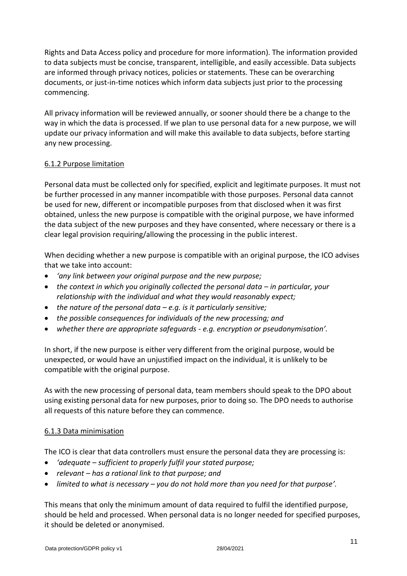Rights and Data Access policy and procedure for more information). The information provided to data subjects must be concise, transparent, intelligible, and easily accessible. Data subjects are informed through privacy notices, policies or statements. These can be overarching documents, or just-in-time notices which inform data subjects just prior to the processing commencing.

All privacy information will be reviewed annually, or sooner should there be a change to the way in which the data is processed. If we plan to use personal data for a new purpose, we will update our privacy information and will make this available to data subjects, before starting any new processing.

## <span id="page-10-0"></span>6.1.2 Purpose limitation

Personal data must be collected only for specified, explicit and legitimate purposes. It must not be further processed in any manner incompatible with those purposes. Personal data cannot be used for new, different or incompatible purposes from that disclosed when it was first obtained, unless the new purpose is compatible with the original purpose, we have informed the data subject of the new purposes and they have consented, where necessary or there is a clear legal provision requiring/allowing the processing in the public interest.

When deciding whether a new purpose is compatible with an original purpose, the ICO advises that we take into account:

- *'any link between your original purpose and the new purpose;*
- the context in which you originally collected the personal data in particular, your *relationship with the individual and what they would reasonably expect;*
- *the nature of the personal data – e.g. is it particularly sensitive;*
- *the possible consequences for individuals of the new processing; and*
- *whether there are appropriate safeguards - e.g. encryption or pseudonymisation'.*

In short, if the new purpose is either very different from the original purpose, would be unexpected, or would have an unjustified impact on the individual, it is unlikely to be compatible with the original purpose.

As with the new processing of personal data, team members should speak to the DPO about using existing personal data for new purposes, prior to doing so. The DPO needs to authorise all requests of this nature before they can commence.

#### <span id="page-10-1"></span>6.1.3 Data minimisation

The ICO is clear that data controllers must ensure the personal data they are processing is:

- *'adequate – sufficient to properly fulfil your stated purpose;*
- *relevant – has a rational link to that purpose; and*
- *limited to what is necessary – you do not hold more than you need for that purpose'.*

This means that only the minimum amount of data required to fulfil the identified purpose, should be held and processed. When personal data is no longer needed for specified purposes, it should be deleted or anonymised.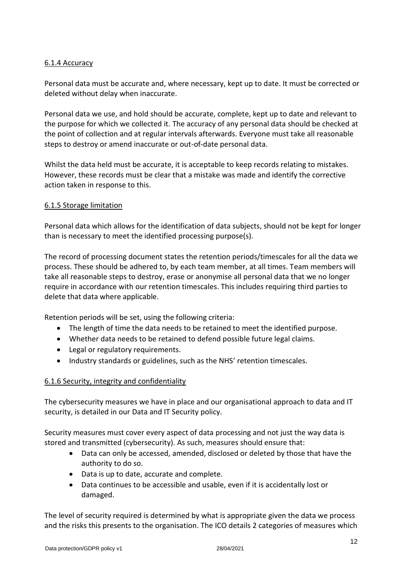# <span id="page-11-0"></span>6.1.4 Accuracy

Personal data must be accurate and, where necessary, kept up to date. It must be corrected or deleted without delay when inaccurate.

Personal data we use, and hold should be accurate, complete, kept up to date and relevant to the purpose for which we collected it. The accuracy of any personal data should be checked at the point of collection and at regular intervals afterwards. Everyone must take all reasonable steps to destroy or amend inaccurate or out-of-date personal data.

Whilst the data held must be accurate, it is acceptable to keep records relating to mistakes. However, these records must be clear that a mistake was made and identify the corrective action taken in response to this.

### <span id="page-11-1"></span>6.1.5 Storage limitation

Personal data which allows for the identification of data subjects, should not be kept for longer than is necessary to meet the identified processing purpose(s).

The record of processing document states the retention periods/timescales for all the data we process. These should be adhered to, by each team member, at all times. Team members will take all reasonable steps to destroy, erase or anonymise all personal data that we no longer require in accordance with our retention timescales. This includes requiring third parties to delete that data where applicable.

Retention periods will be set, using the following criteria:

- The length of time the data needs to be retained to meet the identified purpose.
- Whether data needs to be retained to defend possible future legal claims.
- Legal or regulatory requirements.
- Industry standards or guidelines, such as the NHS' retention timescales.

## <span id="page-11-2"></span>6.1.6 Security, integrity and confidentiality

The cybersecurity measures we have in place and our organisational approach to data and IT security, is detailed in our Data and IT Security policy.

Security measures must cover every aspect of data processing and not just the way data is stored and transmitted (cybersecurity). As such, measures should ensure that:

- Data can only be accessed, amended, disclosed or deleted by those that have the authority to do so.
- Data is up to date, accurate and complete.
- Data continues to be accessible and usable, even if it is accidentally lost or damaged.

The level of security required is determined by what is appropriate given the data we process and the risks this presents to the organisation. The ICO details 2 categories of measures which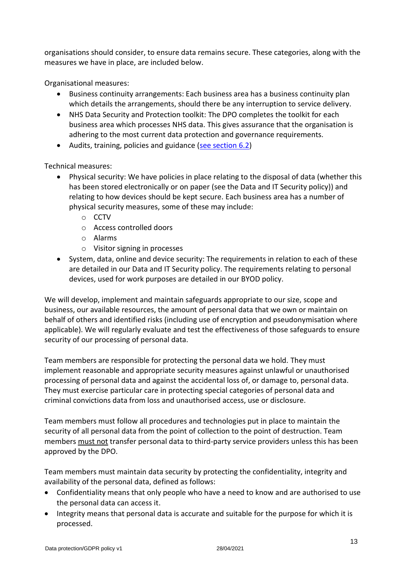organisations should consider, to ensure data remains secure. These categories, along with the measures we have in place, are included below.

Organisational measures:

- Business continuity arrangements: Each business area has a business continuity plan which details the arrangements, should there be any interruption to service delivery.
- NHS Data Security and Protection toolkit: The DPO completes the toolkit for each business area which processes NHS data. This gives assurance that the organisation is adhering to the most current data protection and governance requirements.
- Audits, training, policies and guidance [\(see section 6.2\)](#page-15-0)

Technical measures:

- Physical security: We have policies in place relating to the disposal of data (whether this has been stored electronically or on paper (see the Data and IT Security policy)) and relating to how devices should be kept secure. Each business area has a number of physical security measures, some of these may include:
	- o CCTV
	- o Access controlled doors
	- o Alarms
	- o Visitor signing in processes
- System, data, online and device security: The requirements in relation to each of these are detailed in our Data and IT Security policy. The requirements relating to personal devices, used for work purposes are detailed in our BYOD policy.

We will develop, implement and maintain safeguards appropriate to our size, scope and business, our available resources, the amount of personal data that we own or maintain on behalf of others and identified risks (including use of encryption and pseudonymisation where applicable). We will regularly evaluate and test the effectiveness of those safeguards to ensure security of our processing of personal data.

Team members are responsible for protecting the personal data we hold. They must implement reasonable and appropriate security measures against unlawful or unauthorised processing of personal data and against the accidental loss of, or damage to, personal data. They must exercise particular care in protecting special categories of personal data and criminal convictions data from loss and unauthorised access, use or disclosure.

Team members must follow all procedures and technologies put in place to maintain the security of all personal data from the point of collection to the point of destruction. Team members must not transfer personal data to third-party service providers unless this has been approved by the DPO.

Team members must maintain data security by protecting the confidentiality, integrity and availability of the personal data, defined as follows:

- Confidentiality means that only people who have a need to know and are authorised to use the personal data can access it.
- Integrity means that personal data is accurate and suitable for the purpose for which it is processed.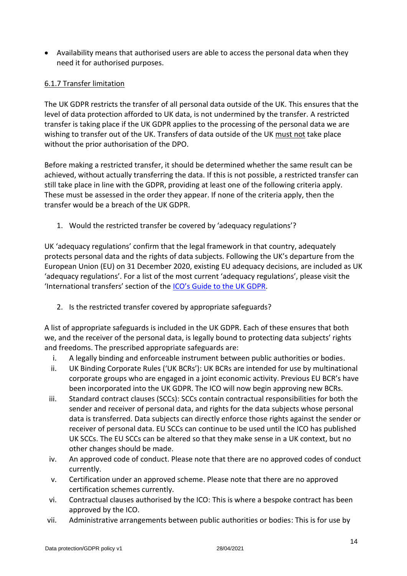• Availability means that authorised users are able to access the personal data when they need it for authorised purposes.

# <span id="page-13-0"></span>6.1.7 Transfer limitation

The UK GDPR restricts the transfer of all personal data outside of the UK. This ensures that the level of data protection afforded to UK data, is not undermined by the transfer. A restricted transfer is taking place if the UK GDPR applies to the processing of the personal data we are wishing to transfer out of the UK. Transfers of data outside of the UK must not take place without the prior authorisation of the DPO.

Before making a restricted transfer, it should be determined whether the same result can be achieved, without actually transferring the data. If this is not possible, a restricted transfer can still take place in line with the GDPR, providing at least one of the following criteria apply. These must be assessed in the order they appear. If none of the criteria apply, then the transfer would be a breach of the UK GDPR.

1. Would the restricted transfer be covered by 'adequacy regulations'?

UK 'adequacy regulations' confirm that the legal framework in that country, adequately protects personal data and the rights of data subjects. Following the UK's departure from the European Union (EU) on 31 December 2020, existing EU adequacy decisions, are included as UK 'adequacy regulations'. For a list of the most current 'adequacy regulations', please visit the 'International transfers' section of the [ICO's Guide to the UK GDPR](https://ico.org.uk/for-organisations/guide-to-data-protection/guide-to-the-general-data-protection-regulation-gdpr/).

2. Is the restricted transfer covered by appropriate safeguards?

A list of appropriate safeguards is included in the UK GDPR. Each of these ensures that both we, and the receiver of the personal data, is legally bound to protecting data subjects' rights and freedoms. The prescribed appropriate safeguards are:

- i. A legally binding and enforceable instrument between public authorities or bodies.
- ii. UK Binding Corporate Rules ('UK BCRs'): UK BCRs are intended for use by multinational corporate groups who are engaged in a joint economic activity. Previous EU BCR's have been incorporated into the UK GDPR. The ICO will now begin approving new BCRs.
- iii. Standard contract clauses (SCCs): SCCs contain contractual responsibilities for both the sender and receiver of personal data, and rights for the data subjects whose personal data is transferred. Data subjects can directly enforce those rights against the sender or receiver of personal data. EU SCCs can continue to be used until the ICO has published UK SCCs. The EU SCCs can be altered so that they make sense in a UK context, but no other changes should be made.
- iv. An approved code of conduct. Please note that there are no approved codes of conduct currently.
- v. Certification under an approved scheme. Please note that there are no approved certification schemes currently.
- vi. Contractual clauses authorised by the ICO: This is where a bespoke contract has been approved by the ICO.
- vii. Administrative arrangements between public authorities or bodies: This is for use by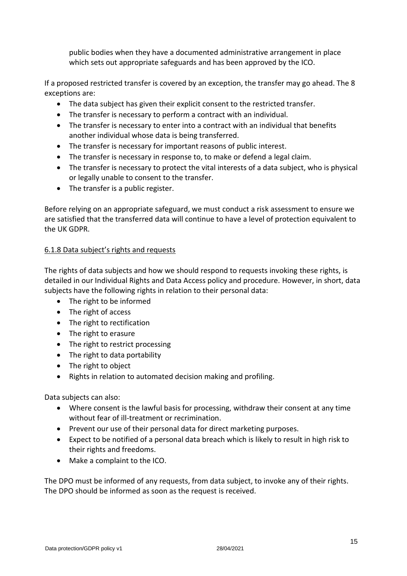public bodies when they have a documented administrative arrangement in place which sets out appropriate safeguards and has been approved by the ICO.

If a proposed restricted transfer is covered by an exception, the transfer may go ahead. The 8 exceptions are:

- The data subject has given their explicit consent to the restricted transfer.
- The transfer is necessary to perform a contract with an individual.
- The transfer is necessary to enter into a contract with an individual that benefits another individual whose data is being transferred.
- The transfer is necessary for important reasons of public interest.
- The transfer is necessary in response to, to make or defend a legal claim.
- The transfer is necessary to protect the vital interests of a data subject, who is physical or legally unable to consent to the transfer.
- The transfer is a public register.

Before relying on an appropriate safeguard, we must conduct a risk assessment to ensure we are satisfied that the transferred data will continue to have a level of protection equivalent to the UK GDPR.

# <span id="page-14-0"></span>6.1.8 Data subject's rights and requests

The rights of data subjects and how we should respond to requests invoking these rights, is detailed in our Individual Rights and Data Access policy and procedure. However, in short, data subjects have the following rights in relation to their personal data:

- The right to be informed
- The right of access
- The right to rectification
- The right to erasure
- The right to restrict processing
- The right to data portability
- The right to object
- Rights in relation to automated decision making and profiling.

Data subjects can also:

- Where consent is the lawful basis for processing, withdraw their consent at any time without fear of ill-treatment or recrimination.
- Prevent our use of their personal data for direct marketing purposes.
- Expect to be notified of a personal data breach which is likely to result in high risk to their rights and freedoms.
- Make a complaint to the ICO.

The DPO must be informed of any requests, from data subject, to invoke any of their rights. The DPO should be informed as soon as the request is received.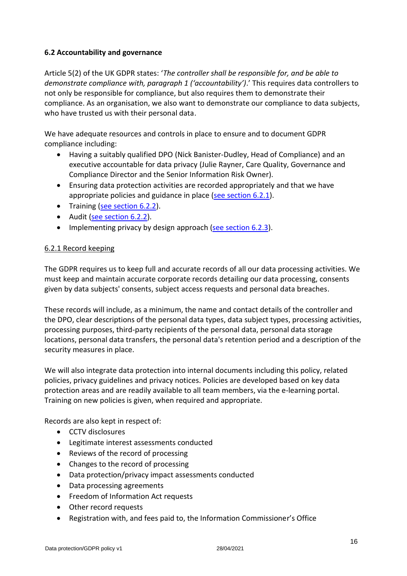# <span id="page-15-0"></span>**6.2 Accountability and governance**

Article 5(2) of the UK GDPR states: '*The controller shall be responsible for, and be able to demonstrate compliance with, paragraph 1 ('accountability')*.' This requires data controllers to not only be responsible for compliance, but also requires them to demonstrate their compliance. As an organisation, we also want to demonstrate our compliance to data subjects, who have trusted us with their personal data.

We have adequate resources and controls in place to ensure and to document GDPR compliance including:

- Having a suitably qualified DPO (Nick Banister-Dudley, Head of Compliance) and an executive accountable for data privacy (Julie Rayner, Care Quality, Governance and Compliance Director and the Senior Information Risk Owner).
- Ensuring data protection activities are recorded appropriately and that we have appropriate policies and guidance in place [\(see section 6.2.1\)](#page-15-1).
- Training [\(see section 6.2.2\)](#page-16-0).
- Audit [\(see section 6.2.2\)](#page-16-0).
- Implementing privacy by design approach [\(see section 6.2.3\)](#page-16-1).

## <span id="page-15-1"></span>6.2.1 Record keeping

The GDPR requires us to keep full and accurate records of all our data processing activities. We must keep and maintain accurate corporate records detailing our data processing, consents given by data subjects' consents, subject access requests and personal data breaches.

These records will include, as a minimum, the name and contact details of the controller and the DPO, clear descriptions of the personal data types, data subject types, processing activities, processing purposes, third-party recipients of the personal data, personal data storage locations, personal data transfers, the personal data's retention period and a description of the security measures in place.

We will also integrate data protection into internal documents including this policy, related policies, privacy guidelines and privacy notices. Policies are developed based on key data protection areas and are readily available to all team members, via the e-learning portal. Training on new policies is given, when required and appropriate.

Records are also kept in respect of:

- CCTV disclosures
- Legitimate interest assessments conducted
- Reviews of the record of processing
- Changes to the record of processing
- Data protection/privacy impact assessments conducted
- Data processing agreements
- Freedom of Information Act requests
- Other record requests
- Registration with, and fees paid to, the Information Commissioner's Office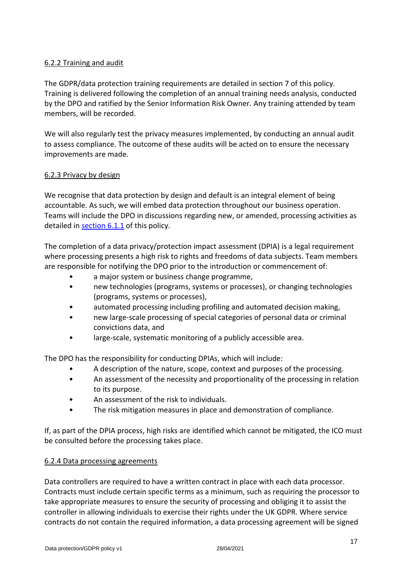# <span id="page-16-0"></span>6.2.2 Training and audit

The GDPR/data protection training requirements are detailed in section 7 of this policy. Training is delivered following the completion of an annual training needs analysis, conducted by the DPO and ratified by the Senior Information Risk Owner. Any training attended by team members, will be recorded.

We will also regularly test the privacy measures implemented, by conducting an annual audit to assess compliance. The outcome of these audits will be acted on to ensure the necessary improvements are made.

### <span id="page-16-1"></span>6.2.3 Privacy by design

We recognise that data protection by design and default is an integral element of being accountable. As such, we will embed data protection throughout our business operation. Teams will include the DPO in discussions regarding new, or amended, processing activities as detailed in [section 6.1.1](#page-8-2) of this policy.

The completion of a data privacy/protection impact assessment (DPIA) is a legal requirement where processing presents a high risk to rights and freedoms of data subjects. Team members are responsible for notifying the DPO prior to the introduction or commencement of:

- a major system or business change programme,
- new technologies (programs, systems or processes), or changing technologies (programs, systems or processes),
- automated processing including profiling and automated decision making,
- new large-scale processing of special categories of personal data or criminal convictions data, and
- large-scale, systematic monitoring of a publicly accessible area.

The DPO has the responsibility for conducting DPIAs, which will include:

- A description of the nature, scope, context and purposes of the processing.
- An assessment of the necessity and proportionality of the processing in relation to its purpose.
- An assessment of the risk to individuals.
- The risk mitigation measures in place and demonstration of compliance.

If, as part of the DPIA process, high risks are identified which cannot be mitigated, the ICO must be consulted before the processing takes place.

## <span id="page-16-2"></span>6.2.4 Data processing agreements

Data controllers are required to have a written contract in place with each data processor. Contracts must include certain specific terms as a minimum, such as requiring the processor to take appropriate measures to ensure the security of processing and obliging it to assist the controller in allowing individuals to exercise their rights under the UK GDPR. Where service contracts do not contain the required information, a data processing agreement will be signed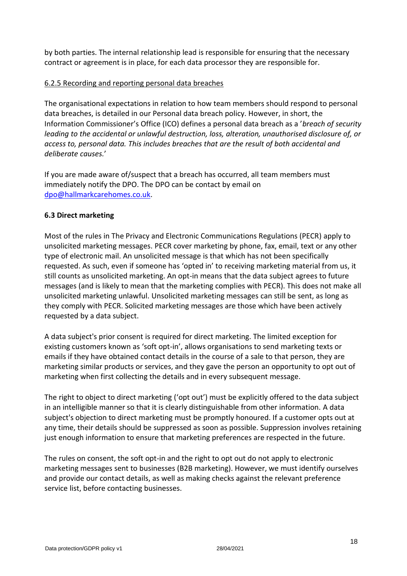by both parties. The internal relationship lead is responsible for ensuring that the necessary contract or agreement is in place, for each data processor they are responsible for.

## <span id="page-17-0"></span>6.2.5 Recording and reporting personal data breaches

The organisational expectations in relation to how team members should respond to personal data breaches, is detailed in our Personal data breach policy. However, in short, the Information Commissioner's Office (ICO) defines a personal data breach as a '*breach of security leading to the accidental or unlawful destruction, loss, alteration, unauthorised disclosure of, or access to, personal data. This includes breaches that are the result of both accidental and deliberate causes.*'

If you are made aware of/suspect that a breach has occurred, all team members must immediately notify the DPO. The DPO can be contact by email on [dpo@hallmarkcarehomes.co.uk.](mailto:dpo@hallmarkcarehomes.co.uk)

### <span id="page-17-1"></span>**6.3 Direct marketing**

Most of the rules in The Privacy and Electronic Communications Regulations (PECR) apply to unsolicited marketing messages. PECR cover marketing by phone, fax, email, text or any other type of electronic mail. An unsolicited message is that which has not been specifically requested. As such, even if someone has 'opted in' to receiving marketing material from us, it still counts as unsolicited marketing. An opt-in means that the data subject agrees to future messages (and is likely to mean that the marketing complies with PECR). This does not make all unsolicited marketing unlawful. Unsolicited marketing messages can still be sent, as long as they comply with PECR. Solicited marketing messages are those which have been actively requested by a data subject.

A data subject's prior consent is required for direct marketing. The limited exception for existing customers known as 'soft opt-in', allows organisations to send marketing texts or emails if they have obtained contact details in the course of a sale to that person, they are marketing similar products or services, and they gave the person an opportunity to opt out of marketing when first collecting the details and in every subsequent message.

The right to object to direct marketing ('opt out') must be explicitly offered to the data subject in an intelligible manner so that it is clearly distinguishable from other information. A data subject's objection to direct marketing must be promptly honoured. If a customer opts out at any time, their details should be suppressed as soon as possible. Suppression involves retaining just enough information to ensure that marketing preferences are respected in the future.

The rules on consent, the soft opt-in and the right to opt out do not apply to electronic marketing messages sent to businesses (B2B marketing). However, we must identify ourselves and provide our contact details, as well as making checks against the relevant preference service list, before contacting businesses.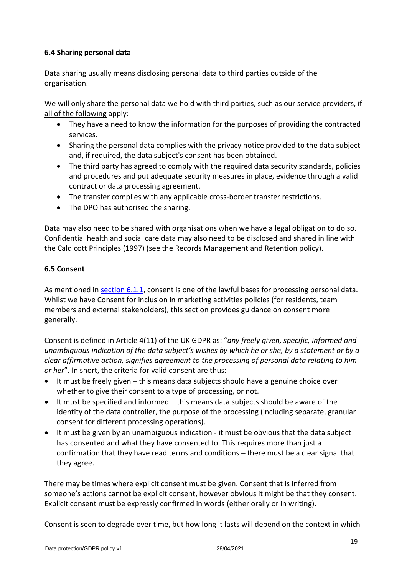# <span id="page-18-0"></span>**6.4 Sharing personal data**

Data sharing usually means disclosing personal data to third parties outside of the organisation.

We will only share the personal data we hold with third parties, such as our service providers, if all of the following apply:

- They have a need to know the information for the purposes of providing the contracted services.
- Sharing the personal data complies with the privacy notice provided to the data subject and, if required, the data subject's consent has been obtained.
- The third party has agreed to comply with the required data security standards, policies and procedures and put adequate security measures in place, evidence through a valid contract or data processing agreement.
- The transfer complies with any applicable cross-border transfer restrictions.
- The DPO has authorised the sharing.

Data may also need to be shared with organisations when we have a legal obligation to do so. Confidential health and social care data may also need to be disclosed and shared in line with the Caldicott Principles (1997) (see the Records Management and Retention policy).

## <span id="page-18-1"></span>**6.5 Consent**

As mentioned in [section 6.1.1,](#page-8-2) consent is one of the lawful bases for processing personal data. Whilst we have Consent for inclusion in marketing activities policies (for residents, team members and external stakeholders), this section provides guidance on consent more generally.

Consent is defined in Article 4(11) of the UK GDPR as: "*any freely given, specific, informed and unambiguous indication of the data subject's wishes by which he or she, by a statement or by a clear affirmative action, signifies agreement to the processing of personal data relating to him or her*". In short, the criteria for valid consent are thus:

- It must be freely given this means data subjects should have a genuine choice over whether to give their consent to a type of processing, or not.
- It must be specified and informed this means data subjects should be aware of the identity of the data controller, the purpose of the processing (including separate, granular consent for different processing operations).
- It must be given by an unambiguous indication it must be obvious that the data subject has consented and what they have consented to. This requires more than just a confirmation that they have read terms and conditions – there must be a clear signal that they agree.

There may be times where explicit consent must be given. Consent that is inferred from someone's actions cannot be explicit consent, however obvious it might be that they consent. Explicit consent must be expressly confirmed in words (either orally or in writing).

Consent is seen to degrade over time, but how long it lasts will depend on the context in which